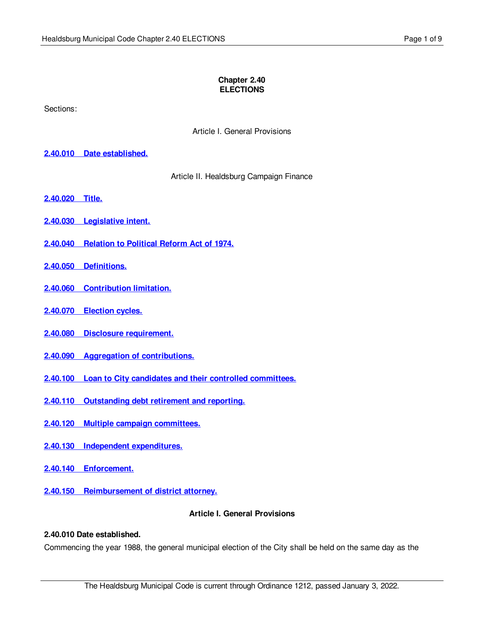### **Chapter 2.40 ELECTIONS**

Sections:

Article I. General Provisions

### **2.40.010 Date [established.](#page-0-0)**

Article II. Healdsburg Campaign Finance

- **[2.40.020](#page-1-0) Title.**
- **2.40.030 [Legislative](#page-1-1) intent.**
- **2.40.040 [Relation](#page-1-2) to Political Reform Act of 1974.**
- **2.40.050 [Definitions.](#page-1-3)**
- **2.40.060 [Contribution](#page-2-0) limitation.**
- **2.40.070 [Election](#page-2-1) cycles.**
- **2.40.080 Disclosure [requirement.](#page-3-0)**
- **2.40.090 Aggregation of [contributions.](#page-4-0)**
- **2.40.100 Loan to City candidates and their controlled [committees.](#page-4-1)**
- **2.40.110 [Outstanding](#page-6-0) debt retirement and reporting.**
- **2.40.120 Multiple campaign [committees.](#page-6-1)**
- **2.40.130 Independent [expenditures.](#page-6-2)**
- **2.40.140 [Enforcement.](#page-7-0)**
- **2.40.150 [Reimbursement](#page-8-0) of district attorney.**

### **Article I. General Provisions**

### <span id="page-0-0"></span>**2.40.010 Date established.**

Commencing the year 1988, the general municipal election of the City shall be held on the same day as the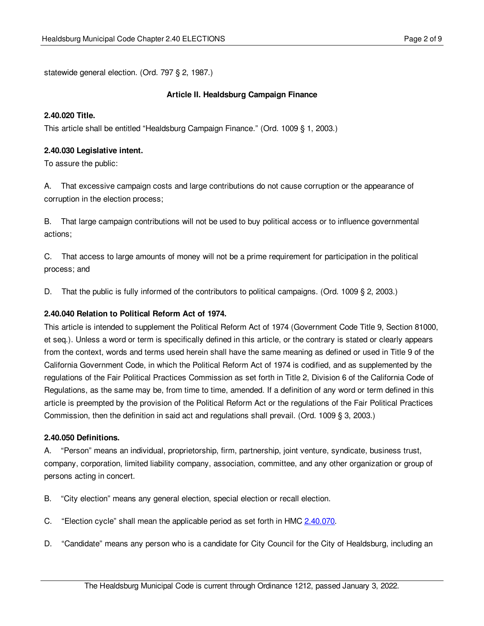statewide general election. (Ord. 797 § 2, 1987.)

### **Article II. Healdsburg Campaign Finance**

### <span id="page-1-0"></span>**2.40.020 Title.**

This article shall be entitled "Healdsburg Campaign Finance." (Ord. 1009 § 1, 2003.)

### <span id="page-1-1"></span>**2.40.030 Legislative intent.**

To assure the public:

A. That excessive campaign costs and large contributions do not cause corruption or the appearance of corruption in the election process;

B. That large campaign contributions will not be used to buy political access or to influence governmental actions;

C. That access to large amounts of money will not be a prime requirement for participation in the political process; and

D. That the public is fully informed of the contributors to political campaigns. (Ord. 1009 § 2, 2003.)

## <span id="page-1-2"></span>**2.40.040 Relation to Political Reform Act of 1974.**

This article is intended to supplement the Political Reform Act of 1974 (Government Code Title 9, Section 81000, et seq.). Unless a word or term is specifically defined in this article, or the contrary is stated or clearly appears from the context, words and terms used herein shall have the same meaning as defined or used in Title 9 of the California Government Code, in which the Political Reform Act of 1974 is codified, and as supplemented by the regulations of the Fair Political Practices Commission as set forth in Title 2, Division 6 of the California Code of Regulations, as the same may be, from time to time, amended. If a definition of any word or term defined in this article is preempted by the provision of the Political Reform Act or the regulations of the Fair Political Practices Commission, then the definition in said act and regulations shall prevail. (Ord. 1009 § 3, 2003.)

### <span id="page-1-3"></span>**2.40.050 Definitions.**

A. "Person" means an individual, proprietorship, firm, partnership, joint venture, syndicate, business trust, company, corporation, limited liability company, association, committee, and any other organization or group of persons acting in concert.

- B. "City election" means any general election, special election or recall election.
- C. "Election cycle" shall mean the applicable period as set forth in HMC [2.40.070](#page-2-1).
- D. "Candidate" means any person who is a candidate for City Council for the City of Healdsburg, including an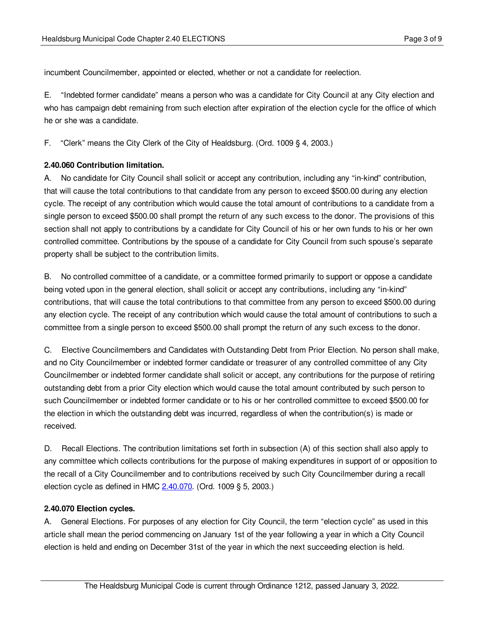incumbent Councilmember, appointed or elected, whether or not a candidate for reelection.

E. "Indebted former candidate" means a person who was a candidate for City Council at any City election and who has campaign debt remaining from such election after expiration of the election cycle for the office of which he or she was a candidate.

F. "Clerk" means the City Clerk of the City of Healdsburg. (Ord. 1009 § 4, 2003.)

## <span id="page-2-0"></span>**2.40.060 Contribution limitation.**

A. No candidate for City Council shall solicit or accept any contribution, including any "in-kind" contribution, that will cause the total contributions to that candidate from any person to exceed \$500.00 during any election cycle. The receipt of any contribution which would cause the total amount of contributions to a candidate from a single person to exceed \$500.00 shall prompt the return of any such excess to the donor. The provisions of this section shall not apply to contributions by a candidate for City Council of his or her own funds to his or her own controlled committee. Contributions by the spouse of a candidate for City Council from such spouse's separate property shall be subject to the contribution limits.

B. No controlled committee of a candidate, or a committee formed primarily to support or oppose a candidate being voted upon in the general election, shall solicit or accept any contributions, including any "in-kind" contributions, that will cause the total contributions to that committee from any person to exceed \$500.00 during any election cycle. The receipt of any contribution which would cause the total amount of contributions to such a committee from a single person to exceed \$500.00 shall prompt the return of any such excess to the donor.

C. Elective Councilmembers and Candidates with Outstanding Debt from Prior Election. No person shall make, and no City Councilmember or indebted former candidate or treasurer of any controlled committee of any City Councilmember or indebted former candidate shall solicit or accept, any contributions for the purpose of retiring outstanding debt from a prior City election which would cause the total amount contributed by such person to such Councilmember or indebted former candidate or to his or her controlled committee to exceed \$500.00 for the election in which the outstanding debt was incurred, regardless of when the contribution(s) is made or received.

D. Recall Elections. The contribution limitations set forth in subsection (A) of this section shall also apply to any committee which collects contributions for the purpose of making expenditures in support of or opposition to the recall of a City Councilmember and to contributions received by such City Councilmember during a recall election cycle as defined in HMC [2.40.070.](#page-2-1) (Ord. 1009 § 5, 2003.)

# <span id="page-2-1"></span>**2.40.070 Election cycles.**

A. General Elections. For purposes of any election for City Council, the term "election cycle" as used in this article shall mean the period commencing on January 1st of the year following a year in which a City Council election is held and ending on December 31st of the year in which the next succeeding election is held.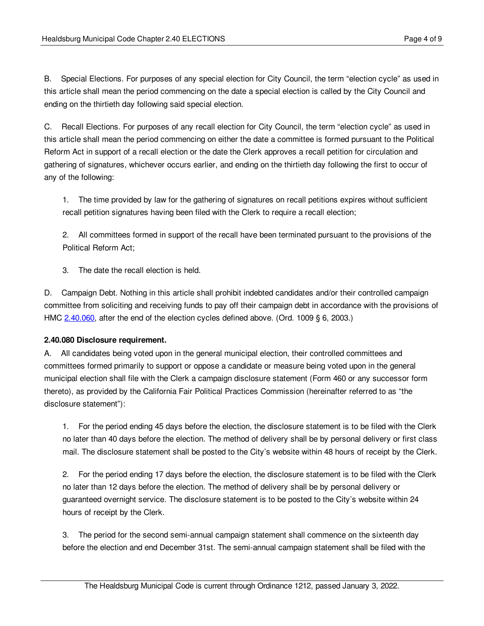B. Special Elections. For purposes of any special election for City Council, the term "election cycle" as used in this article shall mean the period commencing on the date a special election is called by the City Council and ending on the thirtieth day following said special election.

C. Recall Elections. For purposes of any recall election for City Council, the term "election cycle" as used in this article shall mean the period commencing on either the date a committee is formed pursuant to the Political Reform Act in support of a recall election or the date the Clerk approves a recall petition for circulation and gathering of signatures, whichever occurs earlier, and ending on the thirtieth day following the first to occur of any of the following:

1. The time provided by law for the gathering of signatures on recall petitions expires without sufficient recall petition signatures having been filed with the Clerk to require a recall election;

2. All committees formed in support of the recall have been terminated pursuant to the provisions of the Political Reform Act;

3. The date the recall election is held.

D. Campaign Debt. Nothing in this article shall prohibit indebted candidates and/or their controlled campaign committee from soliciting and receiving funds to pay off their campaign debt in accordance with the provisions of HMC [2.40.060](#page-2-0), after the end of the election cycles defined above. (Ord. 1009 § 6, 2003.)

## <span id="page-3-0"></span>**2.40.080 Disclosure requirement.**

A. All candidates being voted upon in the general municipal election, their controlled committees and committees formed primarily to support or oppose a candidate or measure being voted upon in the general municipal election shall file with the Clerk a campaign disclosure statement (Form 460 or any successor form thereto), as provided by the California Fair Political Practices Commission (hereinafter referred to as "the disclosure statement"):

1. For the period ending 45 days before the election, the disclosure statement is to be filed with the Clerk no later than 40 days before the election. The method of delivery shall be by personal delivery or first class mail. The disclosure statement shall be posted to the City's website within 48 hours of receipt by the Clerk.

2. For the period ending 17 days before the election, the disclosure statement is to be filed with the Clerk no later than 12 days before the election. The method of delivery shall be by personal delivery or guaranteed overnight service. The disclosure statement is to be posted to the City's website within 24 hours of receipt by the Clerk.

3. The period for the second semi-annual campaign statement shall commence on the sixteenth day before the election and end December 31st. The semi-annual campaign statement shall be filed with the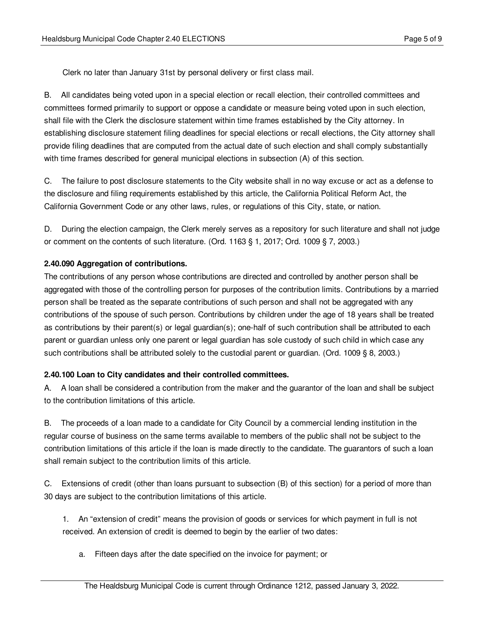Clerk no later than January 31st by personal delivery or first class mail.

B. All candidates being voted upon in a special election or recall election, their controlled committees and committees formed primarily to support or oppose a candidate or measure being voted upon in such election, shall file with the Clerk the disclosure statement within time frames established by the City attorney. In establishing disclosure statement filing deadlines for special elections or recall elections, the City attorney shall provide filing deadlines that are computed from the actual date of such election and shall comply substantially with time frames described for general municipal elections in subsection (A) of this section.

C. The failure to post disclosure statements to the City website shall in no way excuse or act as a defense to the disclosure and filing requirements established by this article, the California Political Reform Act, the California Government Code or any other laws, rules, or regulations of this City, state, or nation.

D. During the election campaign, the Clerk merely serves as a repository for such literature and shall not judge or comment on the contents of such literature. (Ord. 1163 § 1, 2017; Ord. 1009 § 7, 2003.)

## <span id="page-4-0"></span>**2.40.090 Aggregation of contributions.**

The contributions of any person whose contributions are directed and controlled by another person shall be aggregated with those of the controlling person for purposes of the contribution limits. Contributions by a married person shall be treated as the separate contributions of such person and shall not be aggregated with any contributions of the spouse of such person. Contributions by children under the age of 18 years shall be treated as contributions by their parent(s) or legal guardian(s); one-half of such contribution shall be attributed to each parent or guardian unless only one parent or legal guardian has sole custody of such child in which case any such contributions shall be attributed solely to the custodial parent or guardian. (Ord. 1009 § 8, 2003.)

## <span id="page-4-1"></span>**2.40.100 Loan to City candidates and their controlled committees.**

A. A loan shall be considered a contribution from the maker and the guarantor of the loan and shall be subject to the contribution limitations of this article.

B. The proceeds of a loan made to a candidate for City Council by a commercial lending institution in the regular course of business on the same terms available to members of the public shall not be subject to the contribution limitations of this article if the loan is made directly to the candidate. The guarantors of such a loan shall remain subject to the contribution limits of this article.

C. Extensions of credit (other than loans pursuant to subsection (B) of this section) for a period of more than 30 days are subject to the contribution limitations of this article.

1. An "extension of credit" means the provision of goods or services for which payment in full is not received. An extension of credit is deemed to begin by the earlier of two dates:

a. Fifteen days after the date specified on the invoice for payment; or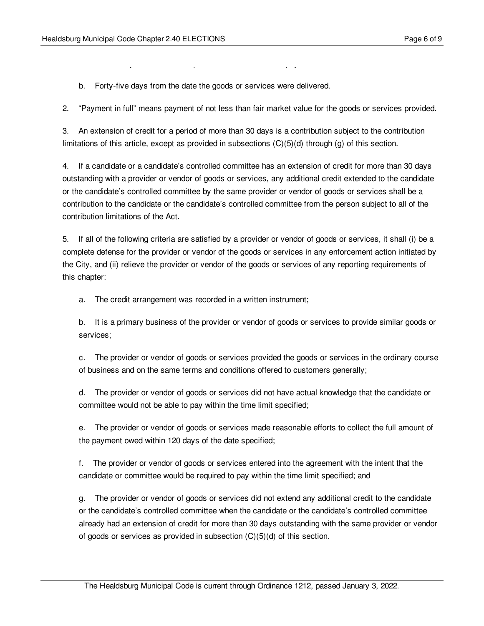b. Forty-five days from the date the goods or services were delivered.

a. Fifteen days after the date specified on the invoice for payment; or

2. "Payment in full" means payment of not less than fair market value for the goods or services provided.

3. An extension of credit for a period of more than 30 days is a contribution subject to the contribution limitations of this article, except as provided in subsections (C)(5)(d) through (g) of this section.

4. If a candidate or a candidate's controlled committee has an extension of credit for more than 30 days outstanding with a provider or vendor of goods or services, any additional credit extended to the candidate or the candidate's controlled committee by the same provider or vendor of goods or services shall be a contribution to the candidate or the candidate's controlled committee from the person subject to all of the contribution limitations of the Act.

5. If all of the following criteria are satisfied by a provider or vendor of goods or services, it shall (i) be a complete defense for the provider or vendor of the goods or services in any enforcement action initiated by the City, and (ii) relieve the provider or vendor of the goods or services of any reporting requirements of this chapter:

a. The credit arrangement was recorded in a written instrument;

b. It is a primary business of the provider or vendor of goods or services to provide similar goods or services;

c. The provider or vendor of goods or services provided the goods or services in the ordinary course of business and on the same terms and conditions offered to customers generally;

d. The provider or vendor of goods or services did not have actual knowledge that the candidate or committee would not be able to pay within the time limit specified;

e. The provider or vendor of goods or services made reasonable efforts to collect the full amount of the payment owed within 120 days of the date specified;

f. The provider or vendor of goods or services entered into the agreement with the intent that the candidate or committee would be required to pay within the time limit specified; and

g. The provider or vendor of goods or services did not extend any additional credit to the candidate or the candidate's controlled committee when the candidate or the candidate's controlled committee already had an extension of credit for more than 30 days outstanding with the same provider or vendor of goods or services as provided in subsection  $(C)(5)(d)$  of this section.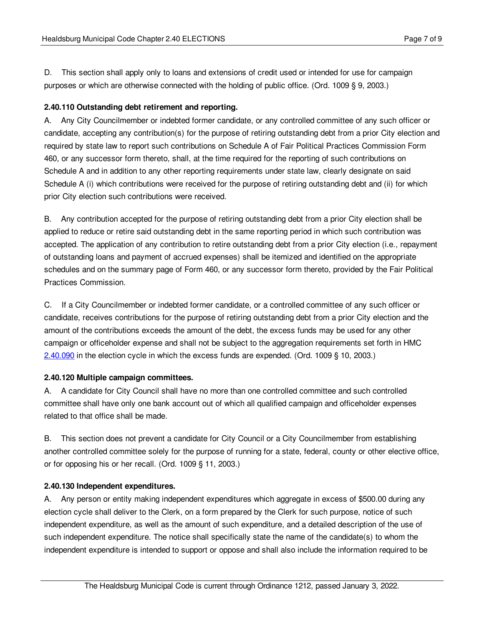D. This section shall apply only to loans and extensions of credit used or intended for use for campaign purposes or which are otherwise connected with the holding of public office. (Ord. 1009 § 9, 2003.)

## <span id="page-6-0"></span>**2.40.110 Outstanding debt retirement and reporting.**

A. Any City Councilmember or indebted former candidate, or any controlled committee of any such officer or candidate, accepting any contribution(s) for the purpose of retiring outstanding debt from a prior City election and required by state law to report such contributions on Schedule A of Fair Political Practices Commission Form 460, or any successor form thereto, shall, at the time required for the reporting of such contributions on Schedule A and in addition to any other reporting requirements under state law, clearly designate on said Schedule A (i) which contributions were received for the purpose of retiring outstanding debt and (ii) for which prior City election such contributions were received.

B. Any contribution accepted for the purpose of retiring outstanding debt from a prior City election shall be applied to reduce or retire said outstanding debt in the same reporting period in which such contribution was accepted. The application of any contribution to retire outstanding debt from a prior City election (i.e., repayment of outstanding loans and payment of accrued expenses) shall be itemized and identified on the appropriate schedules and on the summary page of Form 460, or any successor form thereto, provided by the Fair Political Practices Commission.

C. If a City Councilmember or indebted former candidate, or a controlled committee of any such officer or candidate, receives contributions for the purpose of retiring outstanding debt from a prior City election and the amount of the contributions exceeds the amount of the debt, the excess funds may be used for any other campaign or officeholder expense and shall not be subject to the aggregation requirements set forth in HMC [2.40.090](#page-4-0) in the election cycle in which the excess funds are expended. (Ord. 1009 § 10, 2003.)

## <span id="page-6-1"></span>**2.40.120 Multiple campaign committees.**

A. A candidate for City Council shall have no more than one controlled committee and such controlled committee shall have only one bank account out of which all qualified campaign and officeholder expenses related to that office shall be made.

B. This section does not prevent a candidate for City Council or a City Councilmember from establishing another controlled committee solely for the purpose of running for a state, federal, county or other elective office, or for opposing his or her recall. (Ord. 1009 § 11, 2003.)

## <span id="page-6-2"></span>**2.40.130 Independent expenditures.**

A. Any person or entity making independent expenditures which aggregate in excess of \$500.00 during any election cycle shall deliver to the Clerk, on a form prepared by the Clerk for such purpose, notice of such independent expenditure, as well as the amount of such expenditure, and a detailed description of the use of such independent expenditure. The notice shall specifically state the name of the candidate(s) to whom the independent expenditure is intended to support or oppose and shall also include the information required to be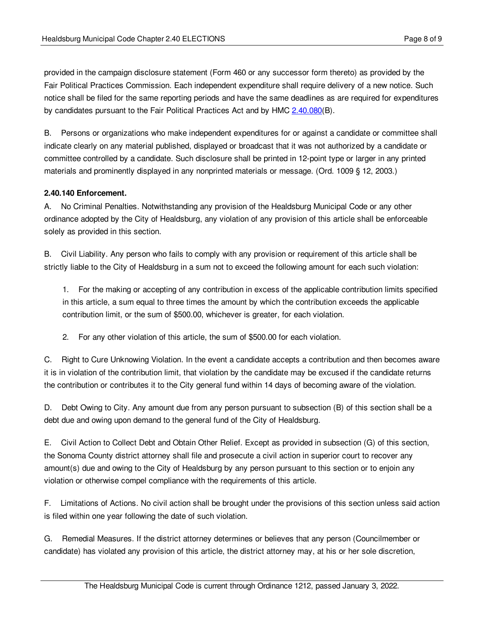provided in the campaign disclosure statement (Form 460 or any successor form thereto) as provided by the Fair Political Practices Commission. Each independent expenditure shall require delivery of a new notice. Such notice shall be filed for the same reporting periods and have the same deadlines as are required for expenditures by candidates pursuant to the Fair Political Practices Act and by HMC [2.40.080](#page-3-0)(B).

B. Persons or organizations who make independent expenditures for or against a candidate or committee shall indicate clearly on any material published, displayed or broadcast that it was not authorized by a candidate or committee controlled by a candidate. Such disclosure shall be printed in 12-point type or larger in any printed materials and prominently displayed in any nonprinted materials or message. (Ord. 1009 § 12, 2003.)

### <span id="page-7-0"></span>**2.40.140 Enforcement.**

A. No Criminal Penalties. Notwithstanding any provision of the Healdsburg Municipal Code or any other ordinance adopted by the City of Healdsburg, any violation of any provision of this article shall be enforceable solely as provided in this section.

B. Civil Liability. Any person who fails to comply with any provision or requirement of this article shall be strictly liable to the City of Healdsburg in a sum not to exceed the following amount for each such violation:

1. For the making or accepting of any contribution in excess of the applicable contribution limits specified in this article, a sum equal to three times the amount by which the contribution exceeds the applicable contribution limit, or the sum of \$500.00, whichever is greater, for each violation.

2. For any other violation of this article, the sum of \$500.00 for each violation.

C. Right to Cure Unknowing Violation. In the event a candidate accepts a contribution and then becomes aware it is in violation of the contribution limit, that violation by the candidate may be excused if the candidate returns the contribution or contributes it to the City general fund within 14 days of becoming aware of the violation.

D. Debt Owing to City. Any amount due from any person pursuant to subsection (B) of this section shall be a debt due and owing upon demand to the general fund of the City of Healdsburg.

E. Civil Action to Collect Debt and Obtain Other Relief. Except as provided in subsection (G) of this section, the Sonoma County district attorney shall file and prosecute a civil action in superior court to recover any amount(s) due and owing to the City of Healdsburg by any person pursuant to this section or to enjoin any violation or otherwise compel compliance with the requirements of this article.

F. Limitations of Actions. No civil action shall be brought under the provisions of this section unless said action is filed within one year following the date of such violation.

G. Remedial Measures. If the district attorney determines or believes that any person (Councilmember or candidate) has violated any provision of this article, the district attorney may, at his or her sole discretion,